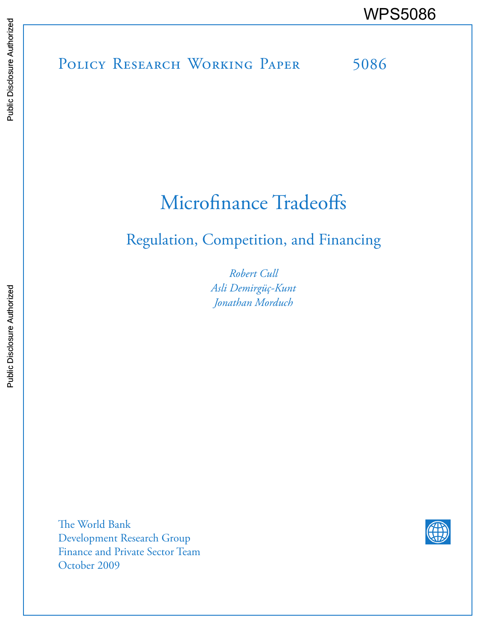# POLICY RESEARCH WORKING PAPER 5086 WPS5086

## Microfinance Tradeoffs

## Regulation, Competition, and Financing

*Robert Cull Asli Demirgüç-Kunt Jonathan Morduch*

The World Bank Development Research Group Finance and Private Sector Team October 2009

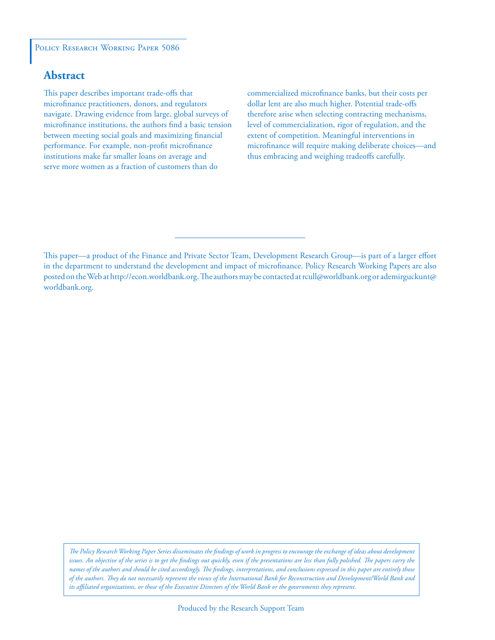#### POLICY RESEARCH WORKING PAPER 5086

#### **Abstract**

This paper describes important trade-offs that microfinance practitioners, donors, and regulators navigate. Drawing evidence from large, global surveys of microfinance institutions, the authors find a basic tension between meeting social goals and maximizing financial performance. For example, non-profit microfinance institutions make far smaller loans on average and serve more women as a fraction of customers than do

commercialized microfinance banks, but their costs per dollar lent are also much higher. Potential trade-offs therefore arise when selecting contracting mechanisms, level of commercialization, rigor of regulation, and the extent of competition. Meaningful interventions in microfinance will require making deliberate choices—and thus embracing and weighing tradeoffs carefully.

This paper—a product of the Finance and Private Sector Team, Development Research Group—is part of a larger effort in the department to understand the development and impact of microfinance. Policy Research Working Papers are also posted on the Web at http://econ.worldbank.org. The authors may be contacted at rcull@worldbank.org or ademirguckunt@ worldbank.org.

*The Policy Research Working Paper Series disseminates the findings of work in progress to encourage the exchange of ideas about development*  issues. An objective of the series is to get the findings out quickly, even if the presentations are less than fully polished. The papers carry the *names of the authors and should be cited accordingly. The findings, interpretations, and conclusions expressed in this paper are entirely those of the authors. They do not necessarily represent the views of the International Bank for Reconstruction and Development/World Bank and its affiliated organizations, or those of the Executive Directors of the World Bank or the governments they represent.*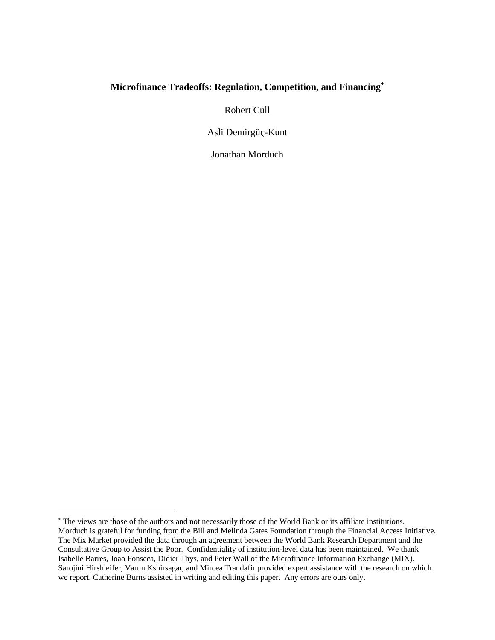### **Microfinance Tradeoffs: Regulation, Competition, and Financing**

Robert Cull

Asli Demirgüç-Kunt

Jonathan Morduch

 The views are those of the authors and not necessarily those of the World Bank or its affiliate institutions. Morduch is grateful for funding from the Bill and Melinda Gates Foundation through the Financial Access Initiative. The Mix Market provided the data through an agreement between the World Bank Research Department and the Consultative Group to Assist the Poor. Confidentiality of institution-level data has been maintained. We thank Isabelle Barres, Joao Fonseca, Didier Thys, and Peter Wall of the Microfinance Information Exchange (MIX). Sarojini Hirshleifer, Varun Kshirsagar, and Mircea Trandafir provided expert assistance with the research on which we report. Catherine Burns assisted in writing and editing this paper. Any errors are ours only.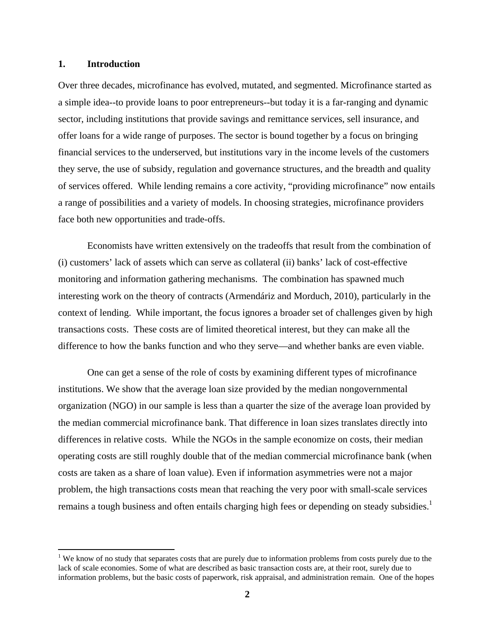#### **1. Introduction**

Over three decades, microfinance has evolved, mutated, and segmented. Microfinance started as a simple idea--to provide loans to poor entrepreneurs--but today it is a far-ranging and dynamic sector, including institutions that provide savings and remittance services, sell insurance, and offer loans for a wide range of purposes. The sector is bound together by a focus on bringing financial services to the underserved, but institutions vary in the income levels of the customers they serve, the use of subsidy, regulation and governance structures, and the breadth and quality of services offered. While lending remains a core activity, "providing microfinance" now entails a range of possibilities and a variety of models. In choosing strategies, microfinance providers face both new opportunities and trade-offs.

Economists have written extensively on the tradeoffs that result from the combination of (i) customers' lack of assets which can serve as collateral (ii) banks' lack of cost-effective monitoring and information gathering mechanisms. The combination has spawned much interesting work on the theory of contracts (Armendáriz and Morduch, 2010), particularly in the context of lending. While important, the focus ignores a broader set of challenges given by high transactions costs. These costs are of limited theoretical interest, but they can make all the difference to how the banks function and who they serve—and whether banks are even viable.

One can get a sense of the role of costs by examining different types of microfinance institutions. We show that the average loan size provided by the median nongovernmental organization (NGO) in our sample is less than a quarter the size of the average loan provided by the median commercial microfinance bank. That difference in loan sizes translates directly into differences in relative costs. While the NGOs in the sample economize on costs, their median operating costs are still roughly double that of the median commercial microfinance bank (when costs are taken as a share of loan value). Even if information asymmetries were not a major problem, the high transactions costs mean that reaching the very poor with small-scale services remains a tough business and often entails charging high fees or depending on steady subsidies.<sup>1</sup>

<sup>&</sup>lt;sup>1</sup> We know of no study that separates costs that are purely due to information problems from costs purely due to the lack of scale economies. Some of what are described as basic transaction costs are, at their root, surely due to information problems, but the basic costs of paperwork, risk appraisal, and administration remain. One of the hopes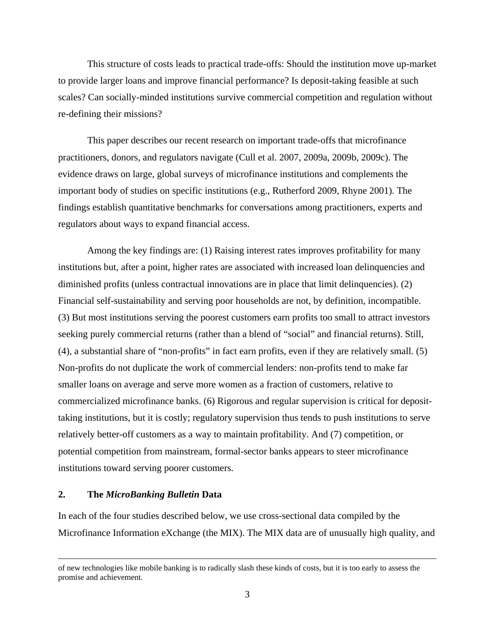This structure of costs leads to practical trade-offs: Should the institution move up-market to provide larger loans and improve financial performance? Is deposit-taking feasible at such scales? Can socially-minded institutions survive commercial competition and regulation without re-defining their missions?

This paper describes our recent research on important trade-offs that microfinance practitioners, donors, and regulators navigate (Cull et al. 2007, 2009a, 2009b, 2009c). The evidence draws on large, global surveys of microfinance institutions and complements the important body of studies on specific institutions (e.g., Rutherford 2009, Rhyne 2001). The findings establish quantitative benchmarks for conversations among practitioners, experts and regulators about ways to expand financial access.

Among the key findings are: (1) Raising interest rates improves profitability for many institutions but, after a point, higher rates are associated with increased loan delinquencies and diminished profits (unless contractual innovations are in place that limit delinquencies). (2) Financial self-sustainability and serving poor households are not, by definition, incompatible. (3) But most institutions serving the poorest customers earn profits too small to attract investors seeking purely commercial returns (rather than a blend of "social" and financial returns). Still, (4), a substantial share of "non-profits" in fact earn profits, even if they are relatively small. (5) Non-profits do not duplicate the work of commercial lenders: non-profits tend to make far smaller loans on average and serve more women as a fraction of customers, relative to commercialized microfinance banks. (6) Rigorous and regular supervision is critical for deposittaking institutions, but it is costly; regulatory supervision thus tends to push institutions to serve relatively better-off customers as a way to maintain profitability. And (7) competition, or potential competition from mainstream, formal-sector banks appears to steer microfinance institutions toward serving poorer customers.

#### **2. The** *MicroBanking Bulletin* **Data**

In each of the four studies described below, we use cross-sectional data compiled by the Microfinance Information eXchange (the MIX). The MIX data are of unusually high quality, and

of new technologies like mobile banking is to radically slash these kinds of costs, but it is too early to assess the promise and achievement.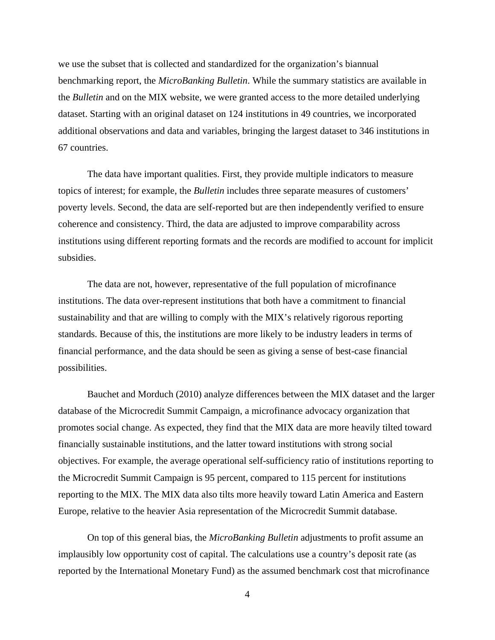we use the subset that is collected and standardized for the organization's biannual benchmarking report, the *MicroBanking Bulletin*. While the summary statistics are available in the *Bulletin* and on the MIX website, we were granted access to the more detailed underlying dataset. Starting with an original dataset on 124 institutions in 49 countries, we incorporated additional observations and data and variables, bringing the largest dataset to 346 institutions in 67 countries.

The data have important qualities. First, they provide multiple indicators to measure topics of interest; for example, the *Bulletin* includes three separate measures of customers' poverty levels. Second, the data are self-reported but are then independently verified to ensure coherence and consistency. Third, the data are adjusted to improve comparability across institutions using different reporting formats and the records are modified to account for implicit subsidies.

The data are not, however, representative of the full population of microfinance institutions. The data over-represent institutions that both have a commitment to financial sustainability and that are willing to comply with the MIX's relatively rigorous reporting standards. Because of this, the institutions are more likely to be industry leaders in terms of financial performance, and the data should be seen as giving a sense of best-case financial possibilities.

Bauchet and Morduch (2010) analyze differences between the MIX dataset and the larger database of the Microcredit Summit Campaign, a microfinance advocacy organization that promotes social change. As expected, they find that the MIX data are more heavily tilted toward financially sustainable institutions, and the latter toward institutions with strong social objectives. For example, the average operational self-sufficiency ratio of institutions reporting to the Microcredit Summit Campaign is 95 percent, compared to 115 percent for institutions reporting to the MIX. The MIX data also tilts more heavily toward Latin America and Eastern Europe, relative to the heavier Asia representation of the Microcredit Summit database.

On top of this general bias, the *MicroBanking Bulletin* adjustments to profit assume an implausibly low opportunity cost of capital. The calculations use a country's deposit rate (as reported by the International Monetary Fund) as the assumed benchmark cost that microfinance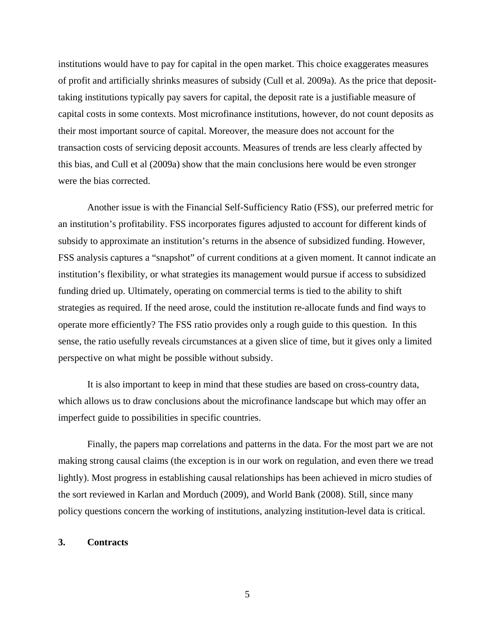institutions would have to pay for capital in the open market. This choice exaggerates measures of profit and artificially shrinks measures of subsidy (Cull et al. 2009a). As the price that deposittaking institutions typically pay savers for capital, the deposit rate is a justifiable measure of capital costs in some contexts. Most microfinance institutions, however, do not count deposits as their most important source of capital. Moreover, the measure does not account for the transaction costs of servicing deposit accounts. Measures of trends are less clearly affected by this bias, and Cull et al (2009a) show that the main conclusions here would be even stronger were the bias corrected.

Another issue is with the Financial Self-Sufficiency Ratio (FSS), our preferred metric for an institution's profitability. FSS incorporates figures adjusted to account for different kinds of subsidy to approximate an institution's returns in the absence of subsidized funding. However, FSS analysis captures a "snapshot" of current conditions at a given moment. It cannot indicate an institution's flexibility, or what strategies its management would pursue if access to subsidized funding dried up. Ultimately, operating on commercial terms is tied to the ability to shift strategies as required. If the need arose, could the institution re-allocate funds and find ways to operate more efficiently? The FSS ratio provides only a rough guide to this question. In this sense, the ratio usefully reveals circumstances at a given slice of time, but it gives only a limited perspective on what might be possible without subsidy.

It is also important to keep in mind that these studies are based on cross-country data, which allows us to draw conclusions about the microfinance landscape but which may offer an imperfect guide to possibilities in specific countries.

Finally, the papers map correlations and patterns in the data. For the most part we are not making strong causal claims (the exception is in our work on regulation, and even there we tread lightly). Most progress in establishing causal relationships has been achieved in micro studies of the sort reviewed in Karlan and Morduch (2009), and World Bank (2008). Still, since many policy questions concern the working of institutions, analyzing institution-level data is critical.

#### **3. Contracts**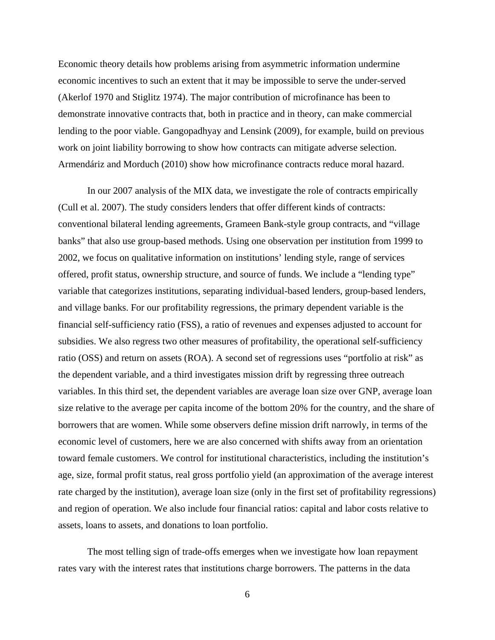Economic theory details how problems arising from asymmetric information undermine economic incentives to such an extent that it may be impossible to serve the under-served (Akerlof 1970 and Stiglitz 1974). The major contribution of microfinance has been to demonstrate innovative contracts that, both in practice and in theory, can make commercial lending to the poor viable. Gangopadhyay and Lensink (2009), for example, build on previous work on joint liability borrowing to show how contracts can mitigate adverse selection. Armendáriz and Morduch (2010) show how microfinance contracts reduce moral hazard.

In our 2007 analysis of the MIX data, we investigate the role of contracts empirically (Cull et al. 2007). The study considers lenders that offer different kinds of contracts: conventional bilateral lending agreements, Grameen Bank-style group contracts, and "village banks" that also use group-based methods. Using one observation per institution from 1999 to 2002, we focus on qualitative information on institutions' lending style, range of services offered, profit status, ownership structure, and source of funds. We include a "lending type" variable that categorizes institutions, separating individual-based lenders, group-based lenders, and village banks. For our profitability regressions, the primary dependent variable is the financial self-sufficiency ratio (FSS), a ratio of revenues and expenses adjusted to account for subsidies. We also regress two other measures of profitability, the operational self-sufficiency ratio (OSS) and return on assets (ROA). A second set of regressions uses "portfolio at risk" as the dependent variable, and a third investigates mission drift by regressing three outreach variables. In this third set, the dependent variables are average loan size over GNP, average loan size relative to the average per capita income of the bottom 20% for the country, and the share of borrowers that are women. While some observers define mission drift narrowly, in terms of the economic level of customers, here we are also concerned with shifts away from an orientation toward female customers. We control for institutional characteristics, including the institution's age, size, formal profit status, real gross portfolio yield (an approximation of the average interest rate charged by the institution), average loan size (only in the first set of profitability regressions) and region of operation. We also include four financial ratios: capital and labor costs relative to assets, loans to assets, and donations to loan portfolio.

The most telling sign of trade-offs emerges when we investigate how loan repayment rates vary with the interest rates that institutions charge borrowers. The patterns in the data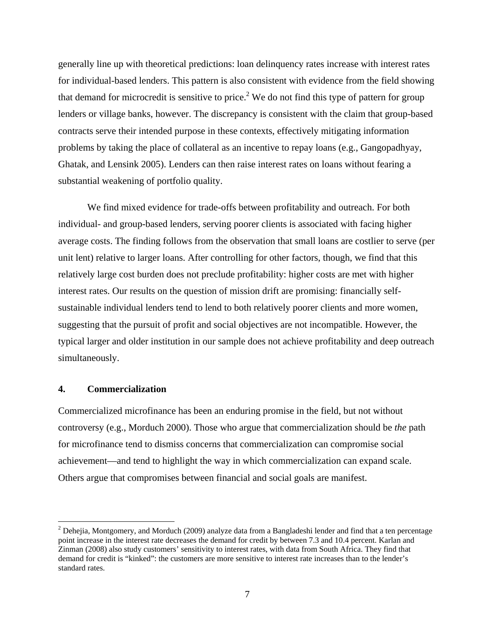generally line up with theoretical predictions: loan delinquency rates increase with interest rates for individual-based lenders. This pattern is also consistent with evidence from the field showing that demand for microcredit is sensitive to price.<sup>2</sup> We do not find this type of pattern for group lenders or village banks, however. The discrepancy is consistent with the claim that group-based contracts serve their intended purpose in these contexts, effectively mitigating information problems by taking the place of collateral as an incentive to repay loans (e.g., Gangopadhyay, Ghatak, and Lensink 2005). Lenders can then raise interest rates on loans without fearing a substantial weakening of portfolio quality.

We find mixed evidence for trade-offs between profitability and outreach. For both individual- and group-based lenders, serving poorer clients is associated with facing higher average costs. The finding follows from the observation that small loans are costlier to serve (per unit lent) relative to larger loans. After controlling for other factors, though, we find that this relatively large cost burden does not preclude profitability: higher costs are met with higher interest rates. Our results on the question of mission drift are promising: financially selfsustainable individual lenders tend to lend to both relatively poorer clients and more women, suggesting that the pursuit of profit and social objectives are not incompatible. However, the typical larger and older institution in our sample does not achieve profitability and deep outreach simultaneously.

#### **4. Commercialization**

Commercialized microfinance has been an enduring promise in the field, but not without controversy (e.g., Morduch 2000). Those who argue that commercialization should be *the* path for microfinance tend to dismiss concerns that commercialization can compromise social achievement—and tend to highlight the way in which commercialization can expand scale. Others argue that compromises between financial and social goals are manifest.

<sup>&</sup>lt;sup>2</sup> Dehejia, Montgomery, and Morduch (2009) analyze data from a Bangladeshi lender and find that a ten percentage point increase in the interest rate decreases the demand for credit by between 7.3 and 10.4 percent. Karlan and Zinman (2008) also study customers' sensitivity to interest rates, with data from South Africa. They find that demand for credit is "kinked": the customers are more sensitive to interest rate increases than to the lender's standard rates.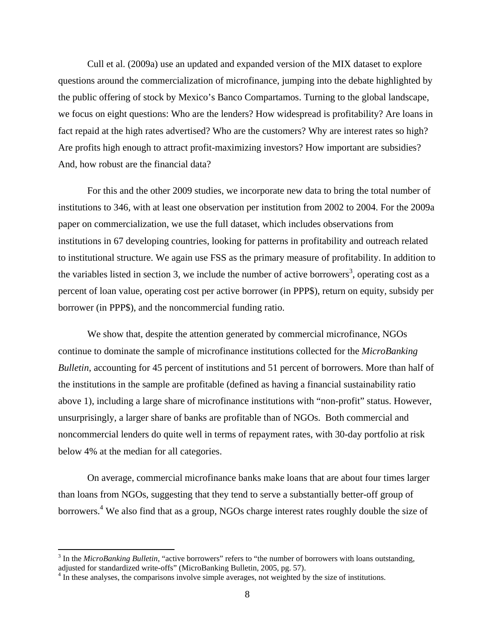Cull et al. (2009a) use an updated and expanded version of the MIX dataset to explore questions around the commercialization of microfinance, jumping into the debate highlighted by the public offering of stock by Mexico's Banco Compartamos. Turning to the global landscape, we focus on eight questions: Who are the lenders? How widespread is profitability? Are loans in fact repaid at the high rates advertised? Who are the customers? Why are interest rates so high? Are profits high enough to attract profit-maximizing investors? How important are subsidies? And, how robust are the financial data?

For this and the other 2009 studies, we incorporate new data to bring the total number of institutions to 346, with at least one observation per institution from 2002 to 2004. For the 2009a paper on commercialization, we use the full dataset, which includes observations from institutions in 67 developing countries, looking for patterns in profitability and outreach related to institutional structure. We again use FSS as the primary measure of profitability. In addition to the variables listed in section 3, we include the number of active borrowers<sup>3</sup>, operating cost as a percent of loan value, operating cost per active borrower (in PPP\$), return on equity, subsidy per borrower (in PPP\$), and the noncommercial funding ratio.

We show that, despite the attention generated by commercial microfinance, NGOs continue to dominate the sample of microfinance institutions collected for the *MicroBanking Bulletin*, accounting for 45 percent of institutions and 51 percent of borrowers. More than half of the institutions in the sample are profitable (defined as having a financial sustainability ratio above 1), including a large share of microfinance institutions with "non-profit" status. However, unsurprisingly, a larger share of banks are profitable than of NGOs. Both commercial and noncommercial lenders do quite well in terms of repayment rates, with 30-day portfolio at risk below 4% at the median for all categories.

On average, commercial microfinance banks make loans that are about four times larger than loans from NGOs, suggesting that they tend to serve a substantially better-off group of borrowers.<sup>4</sup> We also find that as a group, NGOs charge interest rates roughly double the size of

<sup>&</sup>lt;sup>3</sup> In the *MicroBanking Bulletin*, "active borrowers" refers to "the number of borrowers with loans outstanding, adjusted for standardized write-offs" (MicroBanking Bulletin, 2005, pg. 57).

<sup>&</sup>lt;sup>4</sup> In these analyses, the comparisons involve simple averages, not weighted by the size of institutions.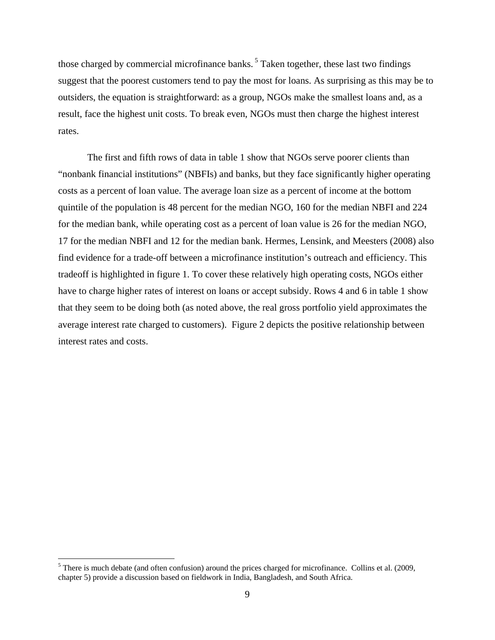those charged by commercial microfinance banks.<sup>5</sup> Taken together, these last two findings suggest that the poorest customers tend to pay the most for loans. As surprising as this may be to outsiders, the equation is straightforward: as a group, NGOs make the smallest loans and, as a result, face the highest unit costs. To break even, NGOs must then charge the highest interest rates.

The first and fifth rows of data in table 1 show that NGOs serve poorer clients than "nonbank financial institutions" (NBFIs) and banks, but they face significantly higher operating costs as a percent of loan value. The average loan size as a percent of income at the bottom quintile of the population is 48 percent for the median NGO, 160 for the median NBFI and 224 for the median bank, while operating cost as a percent of loan value is 26 for the median NGO, 17 for the median NBFI and 12 for the median bank. Hermes, Lensink, and Meesters (2008) also find evidence for a trade-off between a microfinance institution's outreach and efficiency. This tradeoff is highlighted in figure 1. To cover these relatively high operating costs, NGOs either have to charge higher rates of interest on loans or accept subsidy. Rows 4 and 6 in table 1 show that they seem to be doing both (as noted above, the real gross portfolio yield approximates the average interest rate charged to customers). Figure 2 depicts the positive relationship between interest rates and costs.

<sup>&</sup>lt;sup>5</sup> There is much debate (and often confusion) around the prices charged for microfinance. Collins et al. (2009, chapter 5) provide a discussion based on fieldwork in India, Bangladesh, and South Africa.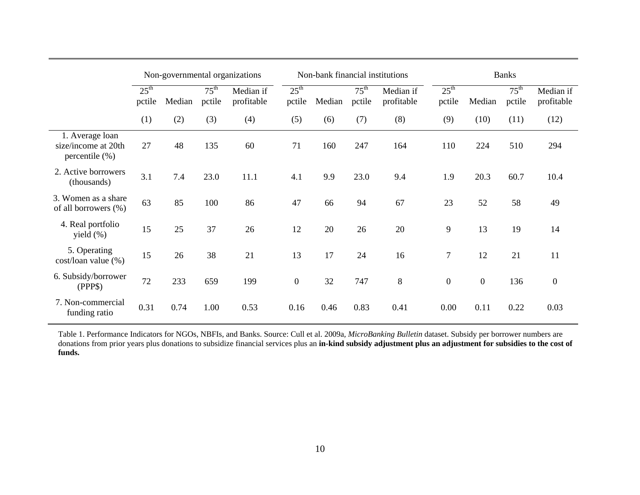|                                                             | Non-governmental organizations |        |                            |                         | Non-bank financial institutions |        |                            |                         | <b>Banks</b>               |                  |                            |                         |
|-------------------------------------------------------------|--------------------------------|--------|----------------------------|-------------------------|---------------------------------|--------|----------------------------|-------------------------|----------------------------|------------------|----------------------------|-------------------------|
|                                                             | $25^{\text{th}}$<br>pctile     | Median | $75^{\text{th}}$<br>pctile | Median if<br>profitable | $25^{\text{th}}$<br>pctile      | Median | $75^{\text{th}}$<br>pctile | Median if<br>profitable | $25^{\text{th}}$<br>pctile | Median           | $75^{\text{th}}$<br>pctile | Median if<br>profitable |
|                                                             | (1)                            | (2)    | (3)                        | (4)                     | (5)                             | (6)    | (7)                        | (8)                     | (9)                        | (10)             | (11)                       | (12)                    |
| 1. Average loan<br>size/income at 20th<br>percentile $(\%)$ | 27                             | 48     | 135                        | 60                      | 71                              | 160    | 247                        | 164                     | 110                        | 224              | 510                        | 294                     |
| 2. Active borrowers<br>(thousands)                          | 3.1                            | 7.4    | 23.0                       | 11.1                    | 4.1                             | 9.9    | 23.0                       | 9.4                     | 1.9                        | 20.3             | 60.7                       | 10.4                    |
| 3. Women as a share<br>of all borrowers (%)                 | 63                             | 85     | 100                        | 86                      | 47                              | 66     | 94                         | 67                      | 23                         | 52               | 58                         | 49                      |
| 4. Real portfolio<br>yield $(\%)$                           | 15                             | 25     | 37                         | 26                      | 12                              | 20     | 26                         | 20                      | 9                          | 13               | 19                         | 14                      |
| 5. Operating<br>cost/loan value (%)                         | 15                             | 26     | 38                         | 21                      | 13                              | 17     | 24                         | 16                      | $\tau$                     | 12               | 21                         | 11                      |
| 6. Subsidy/borrower<br>(PPP\$)                              | 72                             | 233    | 659                        | 199                     | $\boldsymbol{0}$                | 32     | 747                        | 8                       | $\boldsymbol{0}$           | $\boldsymbol{0}$ | 136                        | $\boldsymbol{0}$        |
| 7. Non-commercial<br>funding ratio                          | 0.31                           | 0.74   | 1.00                       | 0.53                    | 0.16                            | 0.46   | 0.83                       | 0.41                    | 0.00                       | 0.11             | 0.22                       | 0.03                    |

Table 1. Performance Indicators for NGOs, NBFIs, and Banks. Source: Cull et al. 2009a*, MicroBanking Bulletin* dataset. Subsidy per borrower numbers are donations from prior years plus donations to subsidize financial services plus an **in-kind subsidy adjustment plus an adjustment for subsidies to the cost of funds.**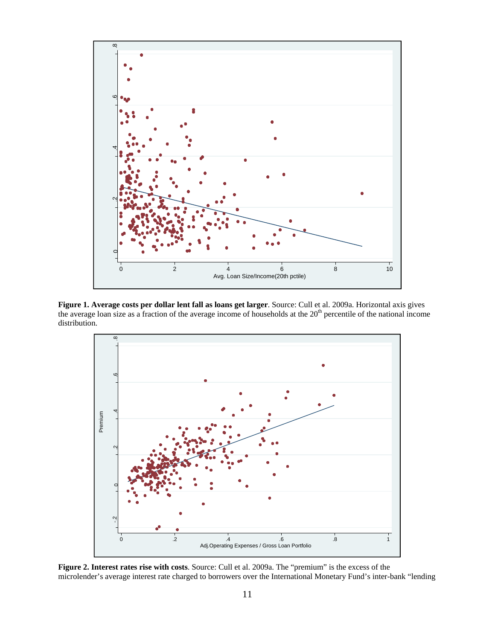

**Figure 1. Average costs per dollar lent fall as loans get larger**. Source: Cull et al. 2009a. Horizontal axis gives the average loan size as a fraction of the average income of households at the  $20<sup>th</sup>$  percentile of the national income distribution.



**Figure 2. Interest rates rise with costs**. Source: Cull et al. 2009a. The "premium" is the excess of the microlender's average interest rate charged to borrowers over the International Monetary Fund's inter-bank "lending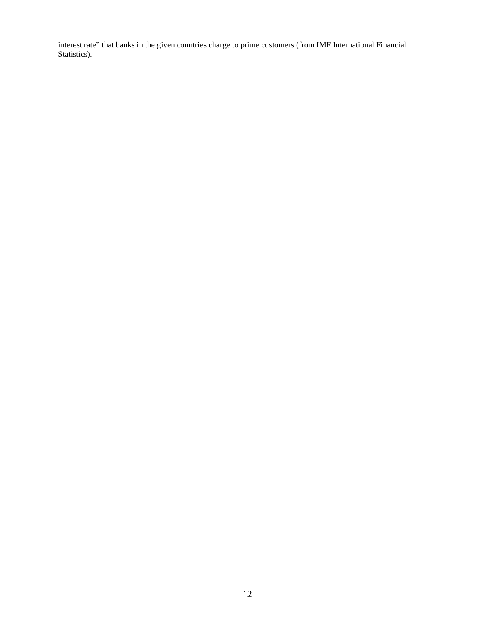interest rate" that banks in the given countries charge to prime customers (from IMF International Financial Statistics).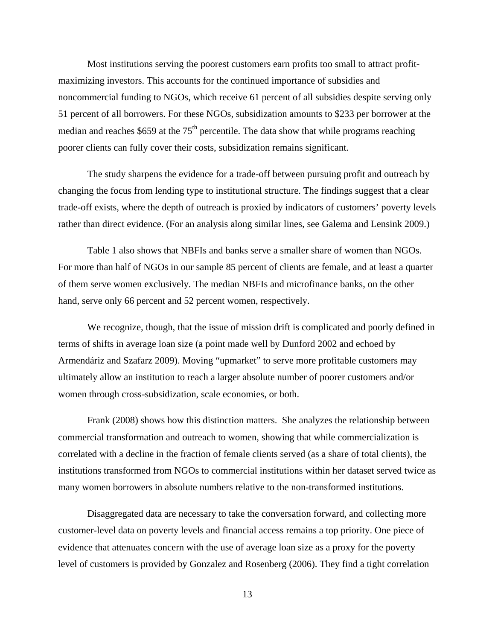Most institutions serving the poorest customers earn profits too small to attract profitmaximizing investors. This accounts for the continued importance of subsidies and noncommercial funding to NGOs, which receive 61 percent of all subsidies despite serving only 51 percent of all borrowers. For these NGOs, subsidization amounts to \$233 per borrower at the median and reaches \$659 at the  $75<sup>th</sup>$  percentile. The data show that while programs reaching poorer clients can fully cover their costs, subsidization remains significant.

The study sharpens the evidence for a trade-off between pursuing profit and outreach by changing the focus from lending type to institutional structure. The findings suggest that a clear trade-off exists, where the depth of outreach is proxied by indicators of customers' poverty levels rather than direct evidence. (For an analysis along similar lines, see Galema and Lensink 2009.)

Table 1 also shows that NBFIs and banks serve a smaller share of women than NGOs. For more than half of NGOs in our sample 85 percent of clients are female, and at least a quarter of them serve women exclusively. The median NBFIs and microfinance banks, on the other hand, serve only 66 percent and 52 percent women, respectively.

We recognize, though, that the issue of mission drift is complicated and poorly defined in terms of shifts in average loan size (a point made well by Dunford 2002 and echoed by Armendáriz and Szafarz 2009). Moving "upmarket" to serve more profitable customers may ultimately allow an institution to reach a larger absolute number of poorer customers and/or women through cross-subsidization, scale economies, or both.

Frank (2008) shows how this distinction matters. She analyzes the relationship between commercial transformation and outreach to women, showing that while commercialization is correlated with a decline in the fraction of female clients served (as a share of total clients), the institutions transformed from NGOs to commercial institutions within her dataset served twice as many women borrowers in absolute numbers relative to the non-transformed institutions.

Disaggregated data are necessary to take the conversation forward, and collecting more customer-level data on poverty levels and financial access remains a top priority. One piece of evidence that attenuates concern with the use of average loan size as a proxy for the poverty level of customers is provided by Gonzalez and Rosenberg (2006). They find a tight correlation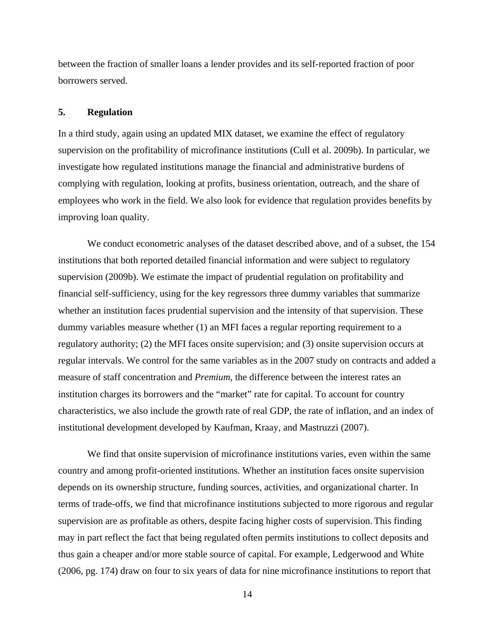between the fraction of smaller loans a lender provides and its self-reported fraction of poor borrowers served.

#### **5. Regulation**

In a third study, again using an updated MIX dataset, we examine the effect of regulatory supervision on the profitability of microfinance institutions (Cull et al. 2009b). In particular, we investigate how regulated institutions manage the financial and administrative burdens of complying with regulation, looking at profits, business orientation, outreach, and the share of employees who work in the field. We also look for evidence that regulation provides benefits by improving loan quality.

We conduct econometric analyses of the dataset described above, and of a subset, the 154 institutions that both reported detailed financial information and were subject to regulatory supervision (2009b). We estimate the impact of prudential regulation on profitability and financial self-sufficiency, using for the key regressors three dummy variables that summarize whether an institution faces prudential supervision and the intensity of that supervision. These dummy variables measure whether (1) an MFI faces a regular reporting requirement to a regulatory authority; (2) the MFI faces onsite supervision; and (3) onsite supervision occurs at regular intervals. We control for the same variables as in the 2007 study on contracts and added a measure of staff concentration and *Premium*, the difference between the interest rates an institution charges its borrowers and the "market" rate for capital. To account for country characteristics, we also include the growth rate of real GDP, the rate of inflation, and an index of institutional development developed by Kaufman, Kraay, and Mastruzzi (2007).

We find that onsite supervision of microfinance institutions varies, even within the same country and among profit-oriented institutions. Whether an institution faces onsite supervision depends on its ownership structure, funding sources, activities, and organizational charter. In terms of trade-offs, we find that microfinance institutions subjected to more rigorous and regular supervision are as profitable as others, despite facing higher costs of supervision. This finding may in part reflect the fact that being regulated often permits institutions to collect deposits and thus gain a cheaper and/or more stable source of capital. For example, Ledgerwood and White (2006, pg. 174) draw on four to six years of data for nine microfinance institutions to report that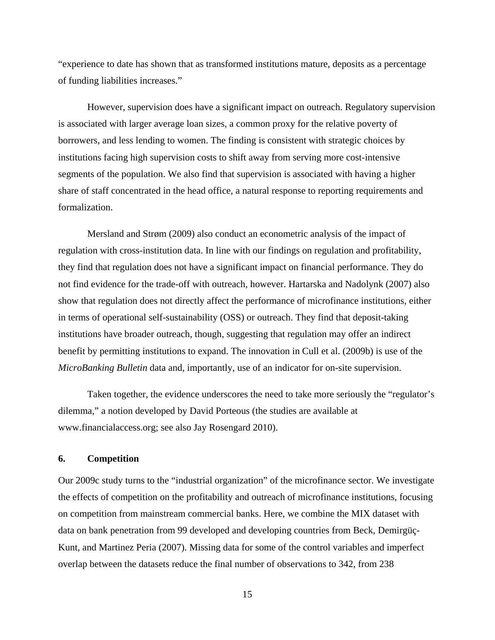"experience to date has shown that as transformed institutions mature, deposits as a percentage of funding liabilities increases."

However, supervision does have a significant impact on outreach. Regulatory supervision is associated with larger average loan sizes, a common proxy for the relative poverty of borrowers, and less lending to women. The finding is consistent with strategic choices by institutions facing high supervision costs to shift away from serving more cost-intensive segments of the population. We also find that supervision is associated with having a higher share of staff concentrated in the head office, a natural response to reporting requirements and formalization.

Mersland and Strøm (2009) also conduct an econometric analysis of the impact of regulation with cross-institution data. In line with our findings on regulation and profitability, they find that regulation does not have a significant impact on financial performance. They do not find evidence for the trade-off with outreach, however. Hartarska and Nadolynk (2007) also show that regulation does not directly affect the performance of microfinance institutions, either in terms of operational self-sustainability (OSS) or outreach. They find that deposit-taking institutions have broader outreach, though, suggesting that regulation may offer an indirect benefit by permitting institutions to expand. The innovation in Cull et al. (2009b) is use of the *MicroBanking Bulletin* data and, importantly, use of an indicator for on-site supervision.

Taken together, the evidence underscores the need to take more seriously the "regulator's dilemma," a notion developed by David Porteous (the studies are available at www.financialaccess.org; see also Jay Rosengard 2010).

#### **6. Competition**

Our 2009c study turns to the "industrial organization" of the microfinance sector. We investigate the effects of competition on the profitability and outreach of microfinance institutions, focusing on competition from mainstream commercial banks. Here, we combine the MIX dataset with data on bank penetration from 99 developed and developing countries from Beck, Demirgüç-Kunt, and Martinez Peria (2007). Missing data for some of the control variables and imperfect overlap between the datasets reduce the final number of observations to 342, from 238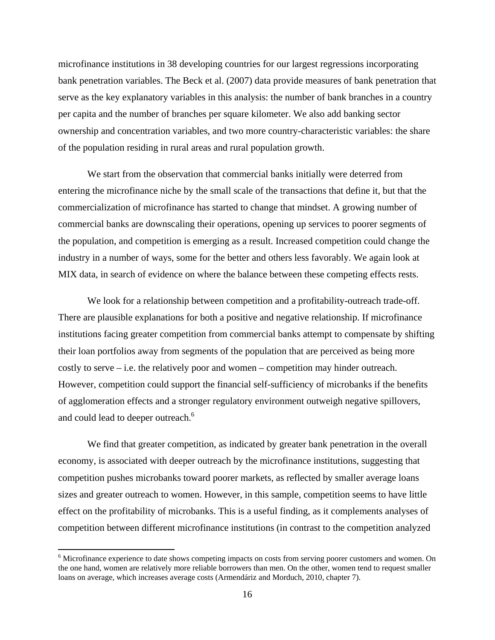microfinance institutions in 38 developing countries for our largest regressions incorporating bank penetration variables. The Beck et al. (2007) data provide measures of bank penetration that serve as the key explanatory variables in this analysis: the number of bank branches in a country per capita and the number of branches per square kilometer. We also add banking sector ownership and concentration variables, and two more country-characteristic variables: the share of the population residing in rural areas and rural population growth.

We start from the observation that commercial banks initially were deterred from entering the microfinance niche by the small scale of the transactions that define it, but that the commercialization of microfinance has started to change that mindset. A growing number of commercial banks are downscaling their operations, opening up services to poorer segments of the population, and competition is emerging as a result. Increased competition could change the industry in a number of ways, some for the better and others less favorably. We again look at MIX data, in search of evidence on where the balance between these competing effects rests.

We look for a relationship between competition and a profitability-outreach trade-off. There are plausible explanations for both a positive and negative relationship. If microfinance institutions facing greater competition from commercial banks attempt to compensate by shifting their loan portfolios away from segments of the population that are perceived as being more costly to serve – i.e. the relatively poor and women – competition may hinder outreach. However, competition could support the financial self-sufficiency of microbanks if the benefits of agglomeration effects and a stronger regulatory environment outweigh negative spillovers, and could lead to deeper outreach.<sup>6</sup>

We find that greater competition, as indicated by greater bank penetration in the overall economy, is associated with deeper outreach by the microfinance institutions, suggesting that competition pushes microbanks toward poorer markets, as reflected by smaller average loans sizes and greater outreach to women. However, in this sample, competition seems to have little effect on the profitability of microbanks. This is a useful finding, as it complements analyses of competition between different microfinance institutions (in contrast to the competition analyzed

<sup>&</sup>lt;sup>6</sup> Microfinance experience to date shows competing impacts on costs from serving poorer customers and women. On the one hand, women are relatively more reliable borrowers than men. On the other, women tend to request smaller loans on average, which increases average costs (Armendáriz and Morduch, 2010, chapter 7).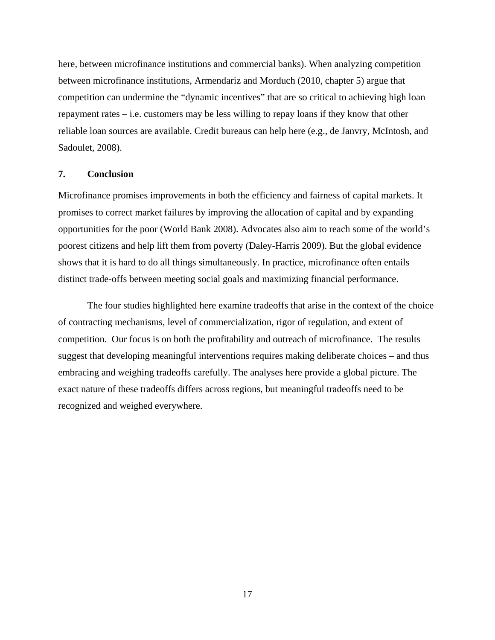here, between microfinance institutions and commercial banks). When analyzing competition between microfinance institutions, Armendariz and Morduch (2010, chapter 5) argue that competition can undermine the "dynamic incentives" that are so critical to achieving high loan repayment rates – i.e. customers may be less willing to repay loans if they know that other reliable loan sources are available. Credit bureaus can help here (e.g., de Janvry, McIntosh, and Sadoulet, 2008).

#### **7. Conclusion**

Microfinance promises improvements in both the efficiency and fairness of capital markets. It promises to correct market failures by improving the allocation of capital and by expanding opportunities for the poor (World Bank 2008). Advocates also aim to reach some of the world's poorest citizens and help lift them from poverty (Daley-Harris 2009). But the global evidence shows that it is hard to do all things simultaneously. In practice, microfinance often entails distinct trade-offs between meeting social goals and maximizing financial performance.

The four studies highlighted here examine tradeoffs that arise in the context of the choice of contracting mechanisms, level of commercialization, rigor of regulation, and extent of competition. Our focus is on both the profitability and outreach of microfinance. The results suggest that developing meaningful interventions requires making deliberate choices – and thus embracing and weighing tradeoffs carefully. The analyses here provide a global picture. The exact nature of these tradeoffs differs across regions, but meaningful tradeoffs need to be recognized and weighed everywhere.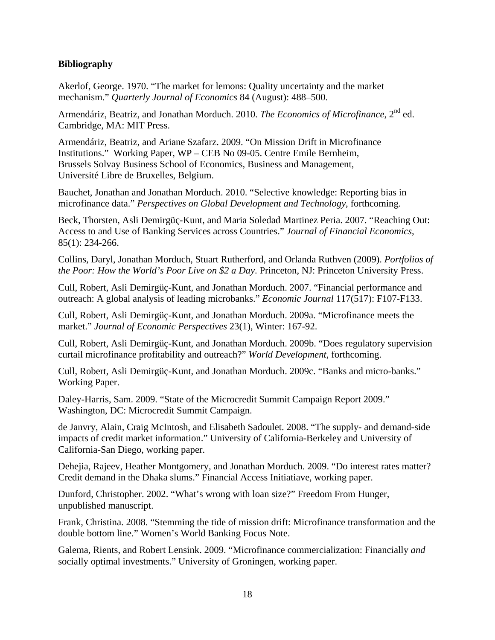#### **Bibliography**

Akerlof, George. 1970. "The market for lemons: Quality uncertainty and the market mechanism." *Quarterly Journal of Economics* 84 (August): 488–500.

Armendáriz, Beatriz, and Jonathan Morduch. 2010. *The Economics of Microfinance*, 2nd ed. Cambridge, MA: MIT Press.

Armendáriz, Beatriz, and Ariane Szafarz. 2009. "On Mission Drift in Microfinance Institutions." Working Paper, WP – CEB No 09-05. Centre Emile Bernheim, Brussels Solvay Business School of Economics, Business and Management, Université Libre de Bruxelles, Belgium.

Bauchet, Jonathan and Jonathan Morduch. 2010. "Selective knowledge: Reporting bias in microfinance data." *Perspectives on Global Development and Technology*, forthcoming.

Beck, Thorsten, Asli Demirgüç-Kunt, and Maria Soledad Martinez Peria. 2007. "Reaching Out: Access to and Use of Banking Services across Countries." *Journal of Financial Economics*, 85(1): 234-266.

Collins, Daryl, Jonathan Morduch, Stuart Rutherford, and Orlanda Ruthven (2009). *Portfolios of the Poor: How the World's Poor Live on \$2 a Day*. Princeton, NJ: Princeton University Press.

Cull, Robert, Asli Demirgüç-Kunt, and Jonathan Morduch. 2007. "Financial performance and outreach: A global analysis of leading microbanks." *Economic Journal* 117(517): F107-F133.

Cull, Robert, Asli Demirgüç-Kunt, and Jonathan Morduch. 2009a. "Microfinance meets the market." *Journal of Economic Perspectives* 23(1), Winter: 167-92.

Cull, Robert, Asli Demirgüç-Kunt, and Jonathan Morduch. 2009b. "Does regulatory supervision curtail microfinance profitability and outreach?" *World Development*, forthcoming.

Cull, Robert, Asli Demirgüç-Kunt, and Jonathan Morduch. 2009c. "Banks and micro-banks." Working Paper.

Daley-Harris, Sam. 2009. "State of the Microcredit Summit Campaign Report 2009." Washington, DC: Microcredit Summit Campaign.

de Janvry, Alain, Craig McIntosh, and Elisabeth Sadoulet. 2008. "The supply- and demand-side impacts of credit market information." University of California-Berkeley and University of California-San Diego, working paper.

Dehejia, Rajeev, Heather Montgomery, and Jonathan Morduch. 2009. "Do interest rates matter? Credit demand in the Dhaka slums." Financial Access Initiatiave, working paper.

Dunford, Christopher. 2002. "What's wrong with loan size?" Freedom From Hunger, unpublished manuscript.

Frank, Christina. 2008. "Stemming the tide of mission drift: Microfinance transformation and the double bottom line." Women's World Banking Focus Note.

Galema, Rients, and Robert Lensink. 2009. "Microfinance commercialization: Financially *and* socially optimal investments." University of Groningen, working paper.